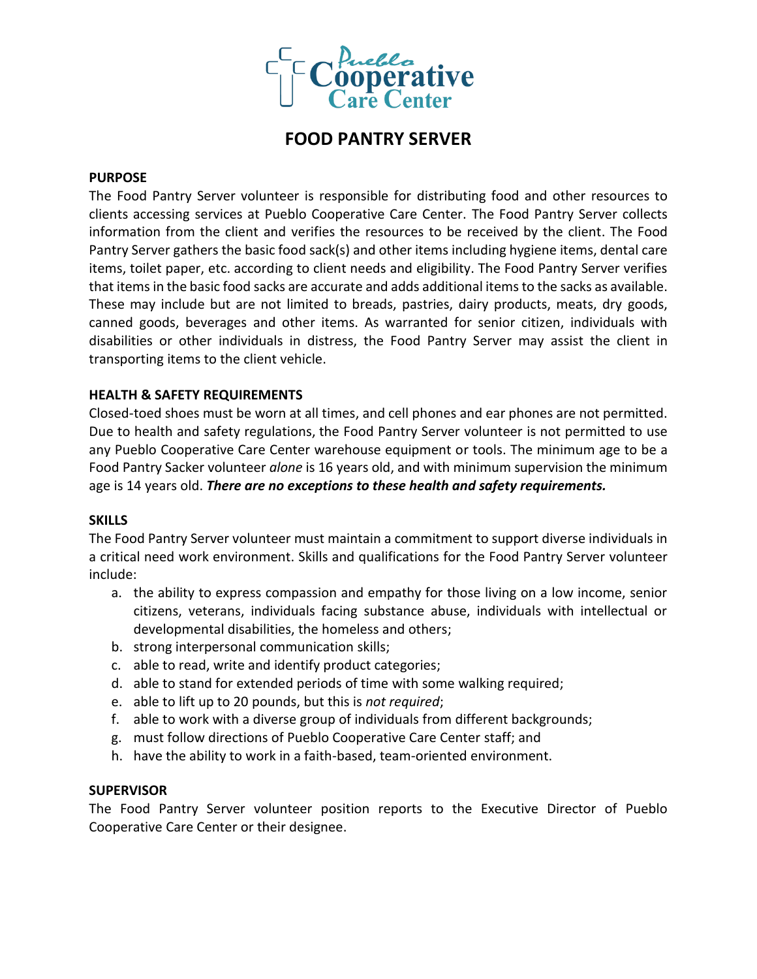

# **FOOD PANTRY SERVER**

#### **PURPOSE**

The Food Pantry Server volunteer is responsible for distributing food and other resources to clients accessing services at Pueblo Cooperative Care Center. The Food Pantry Server collects information from the client and verifies the resources to be received by the client. The Food Pantry Server gathers the basic food sack(s) and other items including hygiene items, dental care items, toilet paper, etc. according to client needs and eligibility. The Food Pantry Server verifies that items in the basic food sacks are accurate and adds additional items to the sacks as available. These may include but are not limited to breads, pastries, dairy products, meats, dry goods, canned goods, beverages and other items. As warranted for senior citizen, individuals with disabilities or other individuals in distress, the Food Pantry Server may assist the client in transporting items to the client vehicle.

#### **HEALTH & SAFETY REQUIREMENTS**

Closed-toed shoes must be worn at all times, and cell phones and ear phones are not permitted. Due to health and safety regulations, the Food Pantry Server volunteer is not permitted to use any Pueblo Cooperative Care Center warehouse equipment or tools. The minimum age to be a Food Pantry Sacker volunteer *alone* is 16 years old, and with minimum supervision the minimum age is 14 years old. *There are no exceptions to these health and safety requirements.*

#### **SKILLS**

The Food Pantry Server volunteer must maintain a commitment to support diverse individuals in a critical need work environment. Skills and qualifications for the Food Pantry Server volunteer include:

- a. the ability to express compassion and empathy for those living on a low income, senior citizens, veterans, individuals facing substance abuse, individuals with intellectual or developmental disabilities, the homeless and others;
- b. strong interpersonal communication skills;
- c. able to read, write and identify product categories;
- d. able to stand for extended periods of time with some walking required;
- e. able to lift up to 20 pounds, but this is *not required*;
- f. able to work with a diverse group of individuals from different backgrounds;
- g. must follow directions of Pueblo Cooperative Care Center staff; and
- h. have the ability to work in a faith-based, team-oriented environment.

#### **SUPERVISOR**

The Food Pantry Server volunteer position reports to the Executive Director of Pueblo Cooperative Care Center or their designee.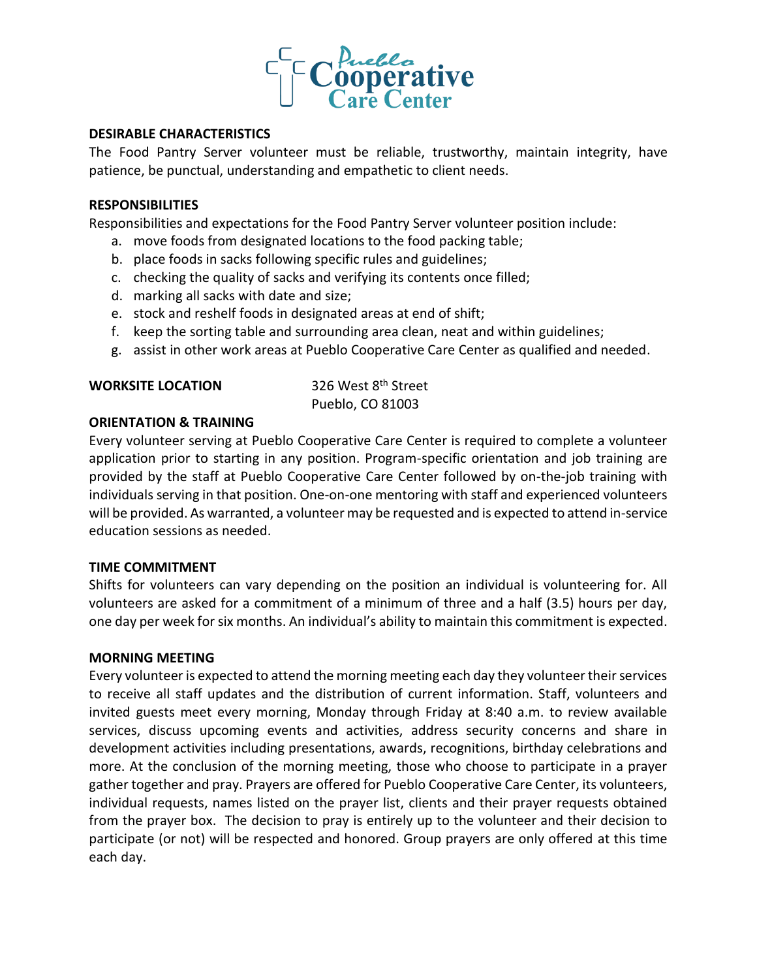

#### **DESIRABLE CHARACTERISTICS**

The Food Pantry Server volunteer must be reliable, trustworthy, maintain integrity, have patience, be punctual, understanding and empathetic to client needs.

#### **RESPONSIBILITIES**

Responsibilities and expectations for the Food Pantry Server volunteer position include:

- a. move foods from designated locations to the food packing table;
- b. place foods in sacks following specific rules and guidelines;
- c. checking the quality of sacks and verifying its contents once filled;
- d. marking all sacks with date and size;
- e. stock and reshelf foods in designated areas at end of shift;
- f. keep the sorting table and surrounding area clean, neat and within guidelines;
- g. assist in other work areas at Pueblo Cooperative Care Center as qualified and needed.

## **WORKSITE LOCATION** 326 West 8<sup>th</sup> Street

Pueblo, CO 81003

#### **ORIENTATION & TRAINING**

Every volunteer serving at Pueblo Cooperative Care Center is required to complete a volunteer application prior to starting in any position. Program-specific orientation and job training are provided by the staff at Pueblo Cooperative Care Center followed by on-the-job training with individuals serving in that position. One-on-one mentoring with staff and experienced volunteers will be provided. As warranted, a volunteer may be requested and is expected to attend in-service education sessions as needed.

#### **TIME COMMITMENT**

Shifts for volunteers can vary depending on the position an individual is volunteering for. All volunteers are asked for a commitment of a minimum of three and a half (3.5) hours per day, one day per week for six months. An individual's ability to maintain this commitment is expected.

#### **MORNING MEETING**

Every volunteer is expected to attend the morning meeting each day they volunteer their services to receive all staff updates and the distribution of current information. Staff, volunteers and invited guests meet every morning, Monday through Friday at 8:40 a.m. to review available services, discuss upcoming events and activities, address security concerns and share in development activities including presentations, awards, recognitions, birthday celebrations and more. At the conclusion of the morning meeting, those who choose to participate in a prayer gather together and pray. Prayers are offered for Pueblo Cooperative Care Center, its volunteers, individual requests, names listed on the prayer list, clients and their prayer requests obtained from the prayer box. The decision to pray is entirely up to the volunteer and their decision to participate (or not) will be respected and honored. Group prayers are only offered at this time each day.